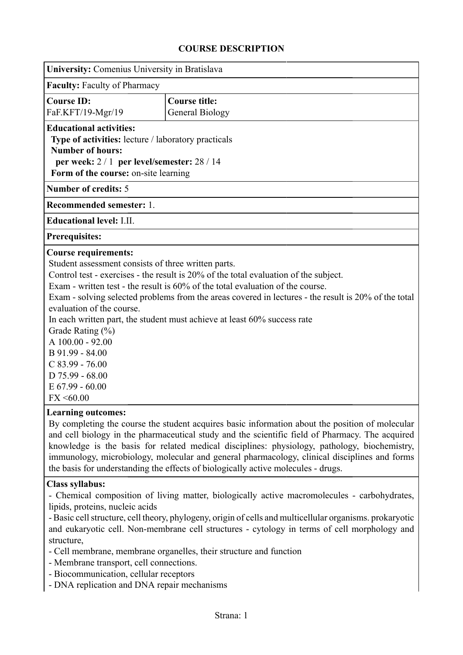## **COURSE DESCRIPTION**

| University: Comenius University in Bratislava                                                   |                                                                                                      |  |  |  |  |  |
|-------------------------------------------------------------------------------------------------|------------------------------------------------------------------------------------------------------|--|--|--|--|--|
| <b>Faculty: Faculty of Pharmacy</b>                                                             |                                                                                                      |  |  |  |  |  |
| <b>Course ID:</b>                                                                               | <b>Course title:</b>                                                                                 |  |  |  |  |  |
| FaF.KFT/19-Mgr/19                                                                               | <b>General Biology</b>                                                                               |  |  |  |  |  |
| <b>Educational activities:</b>                                                                  |                                                                                                      |  |  |  |  |  |
| Type of activities: lecture / laboratory practicals                                             |                                                                                                      |  |  |  |  |  |
| <b>Number of hours:</b>                                                                         |                                                                                                      |  |  |  |  |  |
| per week: $2/1$ per level/semester: $28/14$                                                     |                                                                                                      |  |  |  |  |  |
| Form of the course: on-site learning                                                            |                                                                                                      |  |  |  |  |  |
| <b>Number of credits: 5</b>                                                                     |                                                                                                      |  |  |  |  |  |
| Recommended semester: 1.                                                                        |                                                                                                      |  |  |  |  |  |
| <b>Educational level: I.II.</b>                                                                 |                                                                                                      |  |  |  |  |  |
| <b>Prerequisites:</b>                                                                           |                                                                                                      |  |  |  |  |  |
| <b>Course requirements:</b>                                                                     |                                                                                                      |  |  |  |  |  |
| Student assessment consists of three written parts.                                             |                                                                                                      |  |  |  |  |  |
| Control test - exercises - the result is 20% of the total evaluation of the subject.            |                                                                                                      |  |  |  |  |  |
| Exam - written test - the result is 60% of the total evaluation of the course.                  |                                                                                                      |  |  |  |  |  |
|                                                                                                 | Exam - solving selected problems from the areas covered in lectures - the result is 20% of the total |  |  |  |  |  |
| evaluation of the course.                                                                       |                                                                                                      |  |  |  |  |  |
| In each written part, the student must achieve at least 60% success rate                        |                                                                                                      |  |  |  |  |  |
| Grade Rating (%)<br>A 100.00 - 92.00                                                            |                                                                                                      |  |  |  |  |  |
| B 91.99 - 84.00                                                                                 |                                                                                                      |  |  |  |  |  |
| $C$ 83.99 - 76.00                                                                               |                                                                                                      |  |  |  |  |  |
| $D$ 75.99 - 68.00                                                                               |                                                                                                      |  |  |  |  |  |
| $E$ 67.99 - 60.00                                                                               |                                                                                                      |  |  |  |  |  |
| FX < 60.00                                                                                      |                                                                                                      |  |  |  |  |  |
| <b>Learning outcomes:</b>                                                                       |                                                                                                      |  |  |  |  |  |
| By completing the course the student acquires basic information about the position of molecular |                                                                                                      |  |  |  |  |  |
|                                                                                                 | and cell biology in the pharmaceutical study and the scientific field of Pharmacy. The acquired      |  |  |  |  |  |
| knowledge is the basis for related medical disciplines: physiology, pathology, biochemistry,    |                                                                                                      |  |  |  |  |  |

**Class syllabus:**

- Chemical composition of living matter, biologically active macromolecules - carbohydrates, lipids, proteins, nucleic acids

immunology, microbiology, molecular and general pharmacology, clinical disciplines and forms

- Basic cell structure, cell theory, phylogeny, origin of cells and multicellular organisms. prokaryotic and eukaryotic cell. Non-membrane cell structures - cytology in terms of cell morphology and structure,

- Cell membrane, membrane organelles, their structure and function

the basis for understanding the effects of biologically active molecules - drugs.

- Membrane transport, cell connections.

- Biocommunication, cellular receptors

- DNA replication and DNA repair mechanisms